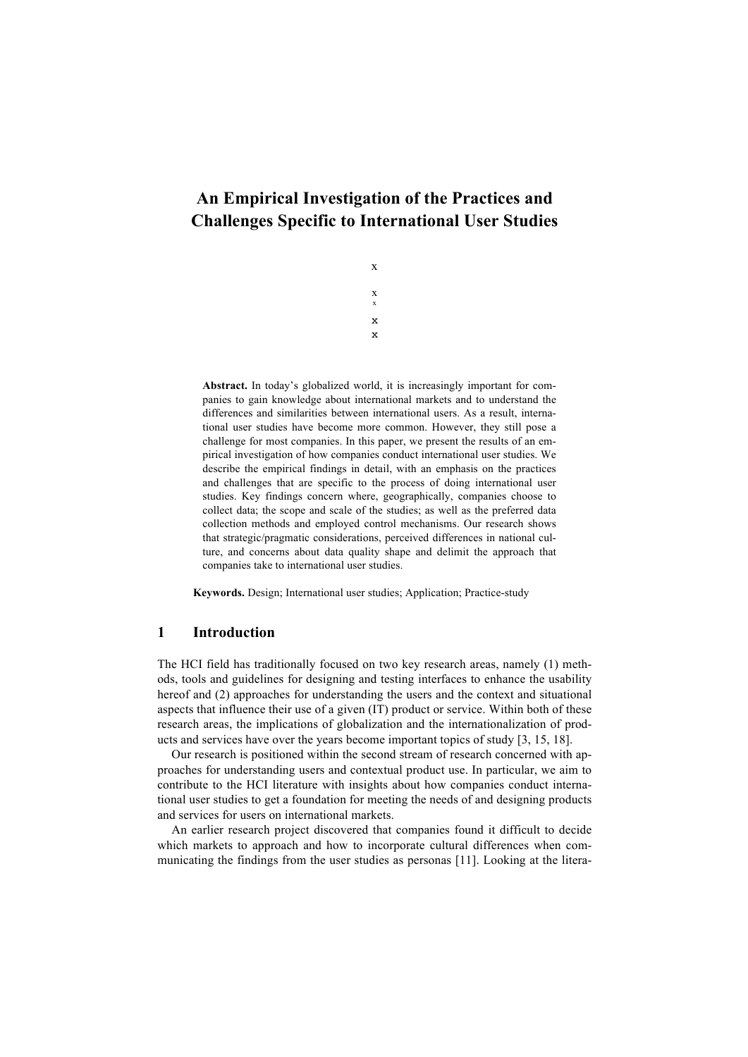# **An Empirical Investigation of the Practices and Challenges Specific to International User Studies**

x x x x x

**Abstract.** In today's globalized world, it is increasingly important for companies to gain knowledge about international markets and to understand the differences and similarities between international users. As a result, international user studies have become more common. However, they still pose a challenge for most companies. In this paper, we present the results of an empirical investigation of how companies conduct international user studies. We describe the empirical findings in detail, with an emphasis on the practices and challenges that are specific to the process of doing international user studies. Key findings concern where, geographically, companies choose to collect data; the scope and scale of the studies; as well as the preferred data collection methods and employed control mechanisms. Our research shows that strategic/pragmatic considerations, perceived differences in national culture, and concerns about data quality shape and delimit the approach that companies take to international user studies.

**Keywords.** Design; International user studies; Application; Practice-study

### **1 Introduction**

The HCI field has traditionally focused on two key research areas, namely (1) methods, tools and guidelines for designing and testing interfaces to enhance the usability hereof and (2) approaches for understanding the users and the context and situational aspects that influence their use of a given (IT) product or service. Within both of these research areas, the implications of globalization and the internationalization of products and services have over the years become important topics of study [3, 15, 18].

Our research is positioned within the second stream of research concerned with approaches for understanding users and contextual product use. In particular, we aim to contribute to the HCI literature with insights about how companies conduct international user studies to get a foundation for meeting the needs of and designing products and services for users on international markets.

An earlier research project discovered that companies found it difficult to decide which markets to approach and how to incorporate cultural differences when communicating the findings from the user studies as personas [11]. Looking at the litera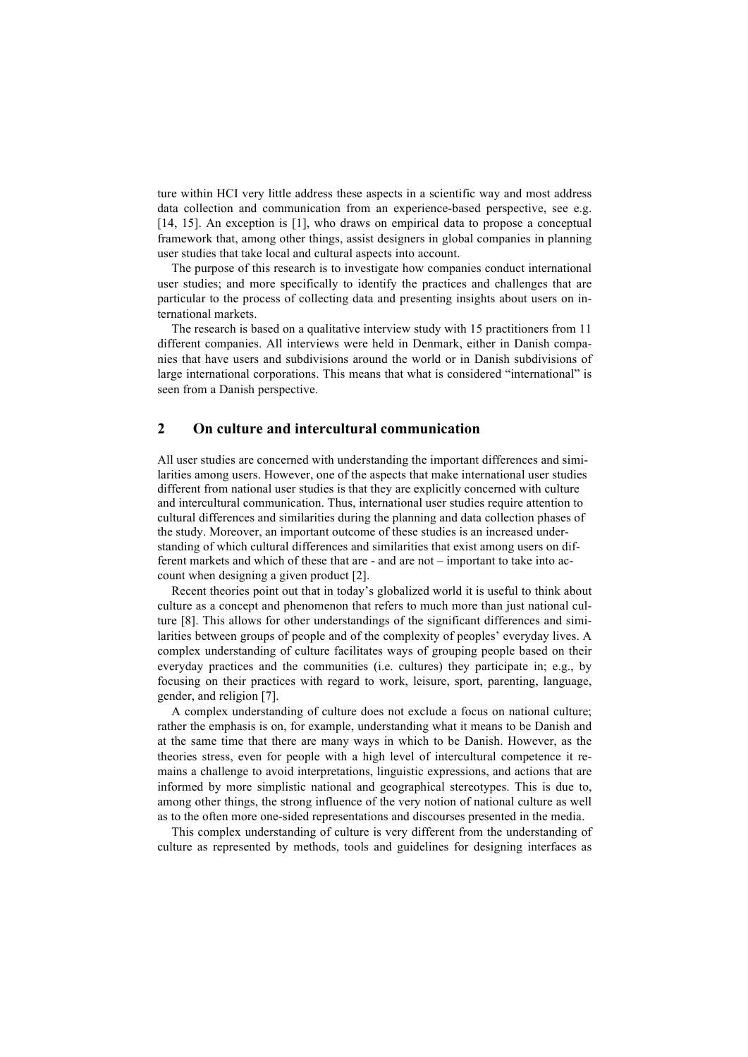ture within HCI very little address these aspects in a scientific way and most address data collection and communication from an experience-based perspective, see e.g. [14, 15]. An exception is [1], who draws on empirical data to propose a conceptual framework that, among other things, assist designers in global companies in planning user studies that take local and cultural aspects into account.

The purpose of this research is to investigate how companies conduct international user studies; and more specifically to identify the practices and challenges that are particular to the process of collecting data and presenting insights about users on international markets.

The research is based on a qualitative interview study with 15 practitioners from 11 different companies. All interviews were held in Denmark, either in Danish companies that have users and subdivisions around the world or in Danish subdivisions of large international corporations. This means that what is considered "international" is seen from a Danish perspective.

## **2 On culture and intercultural communication**

All user studies are concerned with understanding the important differences and similarities among users. However, one of the aspects that make international user studies different from national user studies is that they are explicitly concerned with culture and intercultural communication. Thus, international user studies require attention to cultural differences and similarities during the planning and data collection phases of the study. Moreover, an important outcome of these studies is an increased understanding of which cultural differences and similarities that exist among users on different markets and which of these that are - and are not – important to take into account when designing a given product [2].

Recent theories point out that in today's globalized world it is useful to think about culture as a concept and phenomenon that refers to much more than just national culture [8]. This allows for other understandings of the significant differences and similarities between groups of people and of the complexity of peoples' everyday lives. A complex understanding of culture facilitates ways of grouping people based on their everyday practices and the communities (i.e. cultures) they participate in; e.g., by focusing on their practices with regard to work, leisure, sport, parenting, language, gender, and religion [7].

A complex understanding of culture does not exclude a focus on national culture; rather the emphasis is on, for example, understanding what it means to be Danish and at the same time that there are many ways in which to be Danish. However, as the theories stress, even for people with a high level of intercultural competence it remains a challenge to avoid interpretations, linguistic expressions, and actions that are informed by more simplistic national and geographical stereotypes. This is due to, among other things, the strong influence of the very notion of national culture as well as to the often more one-sided representations and discourses presented in the media.

This complex understanding of culture is very different from the understanding of culture as represented by methods, tools and guidelines for designing interfaces as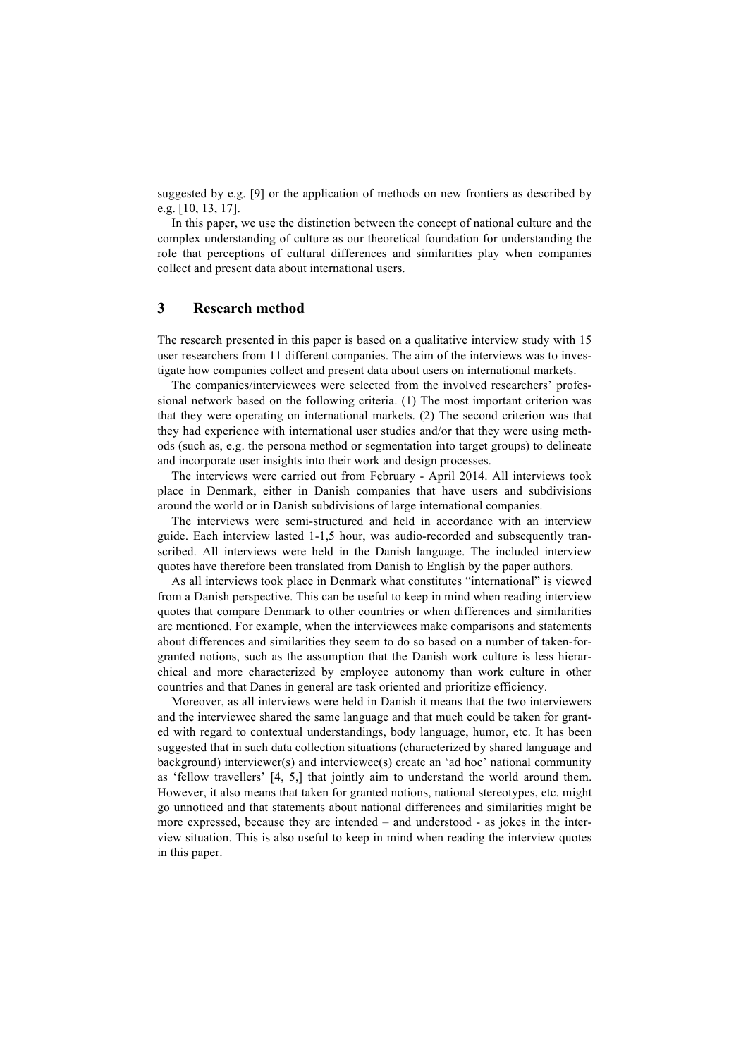suggested by e.g. [9] or the application of methods on new frontiers as described by e.g. [10, 13, 17].

In this paper, we use the distinction between the concept of national culture and the complex understanding of culture as our theoretical foundation for understanding the role that perceptions of cultural differences and similarities play when companies collect and present data about international users.

## **3 Research method**

The research presented in this paper is based on a qualitative interview study with 15 user researchers from 11 different companies. The aim of the interviews was to investigate how companies collect and present data about users on international markets.

The companies/interviewees were selected from the involved researchers' professional network based on the following criteria. (1) The most important criterion was that they were operating on international markets. (2) The second criterion was that they had experience with international user studies and/or that they were using methods (such as, e.g. the persona method or segmentation into target groups) to delineate and incorporate user insights into their work and design processes.

The interviews were carried out from February - April 2014. All interviews took place in Denmark, either in Danish companies that have users and subdivisions around the world or in Danish subdivisions of large international companies.

The interviews were semi-structured and held in accordance with an interview guide. Each interview lasted 1-1,5 hour, was audio-recorded and subsequently transcribed. All interviews were held in the Danish language. The included interview quotes have therefore been translated from Danish to English by the paper authors.

As all interviews took place in Denmark what constitutes "international" is viewed from a Danish perspective. This can be useful to keep in mind when reading interview quotes that compare Denmark to other countries or when differences and similarities are mentioned. For example, when the interviewees make comparisons and statements about differences and similarities they seem to do so based on a number of taken-forgranted notions, such as the assumption that the Danish work culture is less hierarchical and more characterized by employee autonomy than work culture in other countries and that Danes in general are task oriented and prioritize efficiency.

Moreover, as all interviews were held in Danish it means that the two interviewers and the interviewee shared the same language and that much could be taken for granted with regard to contextual understandings, body language, humor, etc. It has been suggested that in such data collection situations (characterized by shared language and background) interviewer(s) and interviewee(s) create an 'ad hoc' national community as 'fellow travellers' [4, 5,] that jointly aim to understand the world around them. However, it also means that taken for granted notions, national stereotypes, etc. might go unnoticed and that statements about national differences and similarities might be more expressed, because they are intended – and understood - as jokes in the interview situation. This is also useful to keep in mind when reading the interview quotes in this paper.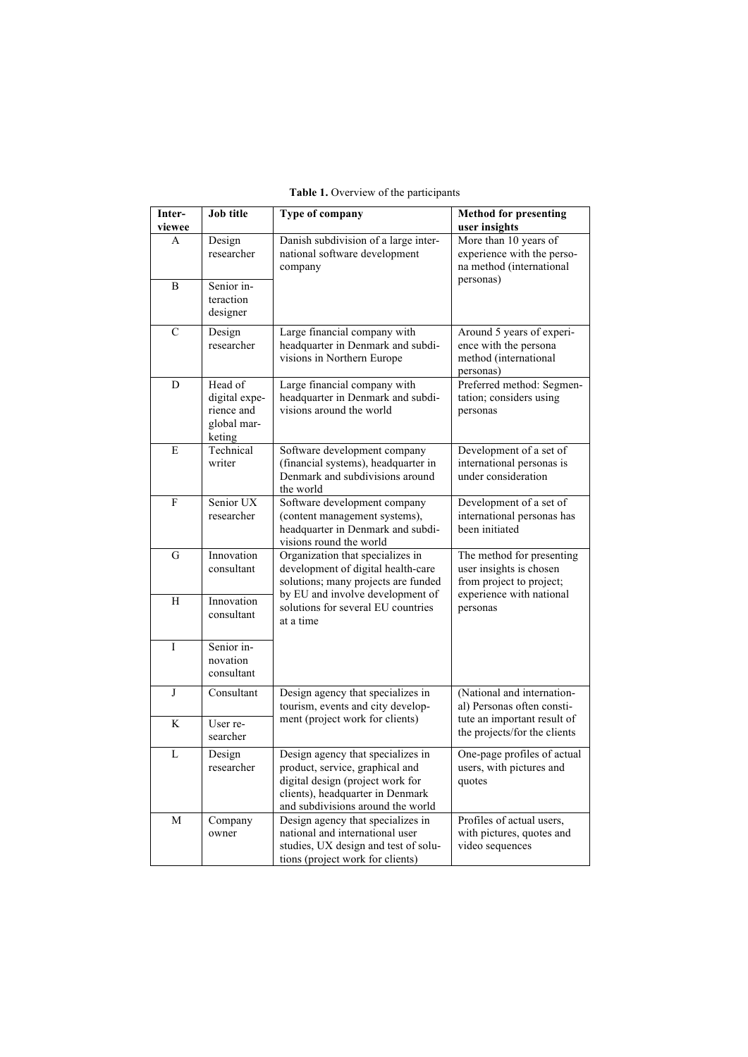| Inter-<br>viewee | Job title                                                       | Type of company                                                                                                                                                                                      | <b>Method for presenting</b><br>user insights                                                                            |
|------------------|-----------------------------------------------------------------|------------------------------------------------------------------------------------------------------------------------------------------------------------------------------------------------------|--------------------------------------------------------------------------------------------------------------------------|
| A                | Design<br>researcher                                            | Danish subdivision of a large inter-<br>national software development<br>company                                                                                                                     | More than 10 years of<br>experience with the perso-<br>na method (international<br>personas)                             |
| B                | Senior in-<br>teraction<br>designer                             |                                                                                                                                                                                                      |                                                                                                                          |
| $\mathsf{C}$     | Design<br>researcher                                            | Large financial company with<br>headquarter in Denmark and subdi-<br>visions in Northern Europe                                                                                                      | Around 5 years of experi-<br>ence with the persona<br>method (international<br>personas)                                 |
| D                | Head of<br>digital expe-<br>rience and<br>global mar-<br>keting | Large financial company with<br>headquarter in Denmark and subdi-<br>visions around the world                                                                                                        | Preferred method: Segmen-<br>tation; considers using<br>personas                                                         |
| E                | Technical<br>writer                                             | Software development company<br>(financial systems), headquarter in<br>Denmark and subdivisions around<br>the world                                                                                  | Development of a set of<br>international personas is<br>under consideration                                              |
| F                | Senior UX<br>researcher                                         | Software development company<br>(content management systems),<br>headquarter in Denmark and subdi-<br>visions round the world                                                                        | Development of a set of<br>international personas has<br>been initiated                                                  |
| G                | Innovation<br>consultant                                        | Organization that specializes in<br>development of digital health-care<br>solutions; many projects are funded<br>by EU and involve development of<br>solutions for several EU countries<br>at a time | The method for presenting<br>user insights is chosen<br>from project to project;<br>experience with national<br>personas |
| Н                | Innovation<br>consultant                                        |                                                                                                                                                                                                      |                                                                                                                          |
| Ι                | Senior in-<br>novation<br>consultant                            |                                                                                                                                                                                                      |                                                                                                                          |
| J                | Consultant                                                      | Design agency that specializes in<br>tourism, events and city develop-<br>ment (project work for clients)                                                                                            | (National and internation-<br>al) Personas often consti-<br>tute an important result of<br>the projects/for the clients  |
| K                | User re-<br>searcher                                            |                                                                                                                                                                                                      |                                                                                                                          |
| L                | Design<br>researcher                                            | Design agency that specializes in<br>product, service, graphical and<br>digital design (project work for<br>clients), headquarter in Denmark<br>and subdivisions around the world                    | One-page profiles of actual<br>users, with pictures and<br>quotes                                                        |
| M                | Company<br>owner                                                | Design agency that specializes in<br>national and international user<br>studies, UX design and test of solu-<br>tions (project work for clients)                                                     | Profiles of actual users,<br>with pictures, quotes and<br>video sequences                                                |

**Table 1.** Overview of the participants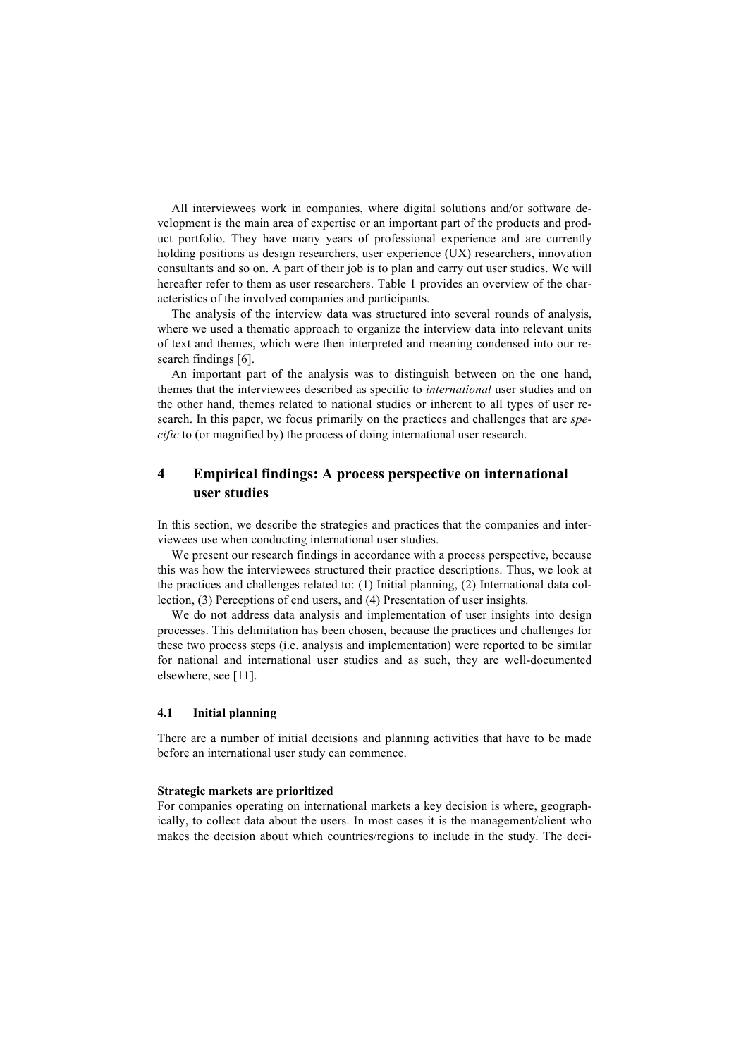All interviewees work in companies, where digital solutions and/or software development is the main area of expertise or an important part of the products and product portfolio. They have many years of professional experience and are currently holding positions as design researchers, user experience (UX) researchers, innovation consultants and so on. A part of their job is to plan and carry out user studies. We will hereafter refer to them as user researchers. Table 1 provides an overview of the characteristics of the involved companies and participants.

The analysis of the interview data was structured into several rounds of analysis, where we used a thematic approach to organize the interview data into relevant units of text and themes, which were then interpreted and meaning condensed into our research findings [6].

An important part of the analysis was to distinguish between on the one hand, themes that the interviewees described as specific to *international* user studies and on the other hand, themes related to national studies or inherent to all types of user research. In this paper, we focus primarily on the practices and challenges that are *specific* to (or magnified by) the process of doing international user research.

## **4 Empirical findings: A process perspective on international user studies**

In this section, we describe the strategies and practices that the companies and interviewees use when conducting international user studies.

We present our research findings in accordance with a process perspective, because this was how the interviewees structured their practice descriptions. Thus, we look at the practices and challenges related to: (1) Initial planning, (2) International data collection, (3) Perceptions of end users, and (4) Presentation of user insights.

We do not address data analysis and implementation of user insights into design processes. This delimitation has been chosen, because the practices and challenges for these two process steps (i.e. analysis and implementation) were reported to be similar for national and international user studies and as such, they are well-documented elsewhere, see [11].

### **4.1 Initial planning**

There are a number of initial decisions and planning activities that have to be made before an international user study can commence.

#### **Strategic markets are prioritized**

For companies operating on international markets a key decision is where, geographically, to collect data about the users. In most cases it is the management/client who makes the decision about which countries/regions to include in the study. The deci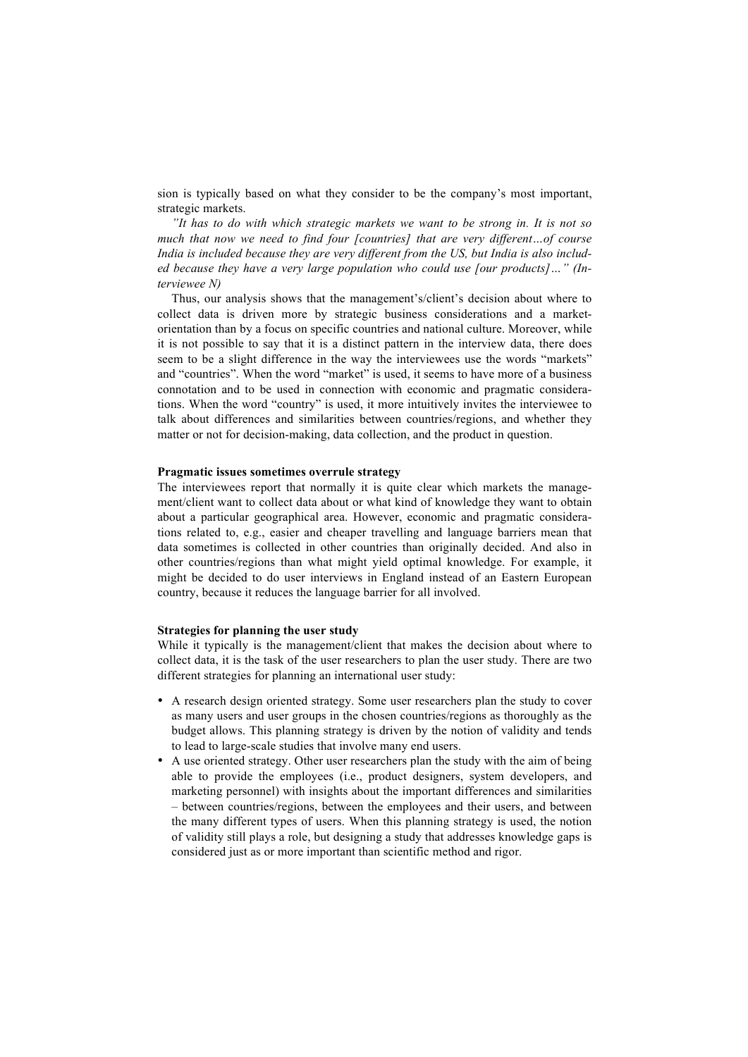sion is typically based on what they consider to be the company's most important, strategic markets.

*"It has to do with which strategic markets we want to be strong in. It is not so much that now we need to find four [countries] that are very different…of course India is included because they are very different from the US, but India is also included because they have a very large population who could use [our products]…" (Interviewee N)*

Thus, our analysis shows that the management's/client's decision about where to collect data is driven more by strategic business considerations and a marketorientation than by a focus on specific countries and national culture. Moreover, while it is not possible to say that it is a distinct pattern in the interview data, there does seem to be a slight difference in the way the interviewees use the words "markets" and "countries". When the word "market" is used, it seems to have more of a business connotation and to be used in connection with economic and pragmatic considerations. When the word "country" is used, it more intuitively invites the interviewee to talk about differences and similarities between countries/regions, and whether they matter or not for decision-making, data collection, and the product in question.

#### **Pragmatic issues sometimes overrule strategy**

The interviewees report that normally it is quite clear which markets the management/client want to collect data about or what kind of knowledge they want to obtain about a particular geographical area. However, economic and pragmatic considerations related to, e.g., easier and cheaper travelling and language barriers mean that data sometimes is collected in other countries than originally decided. And also in other countries/regions than what might yield optimal knowledge. For example, it might be decided to do user interviews in England instead of an Eastern European country, because it reduces the language barrier for all involved.

#### **Strategies for planning the user study**

While it typically is the management/client that makes the decision about where to collect data, it is the task of the user researchers to plan the user study. There are two different strategies for planning an international user study:

- A research design oriented strategy. Some user researchers plan the study to cover as many users and user groups in the chosen countries/regions as thoroughly as the budget allows. This planning strategy is driven by the notion of validity and tends to lead to large-scale studies that involve many end users.
- A use oriented strategy. Other user researchers plan the study with the aim of being able to provide the employees (i.e., product designers, system developers, and marketing personnel) with insights about the important differences and similarities – between countries/regions, between the employees and their users, and between the many different types of users. When this planning strategy is used, the notion of validity still plays a role, but designing a study that addresses knowledge gaps is considered just as or more important than scientific method and rigor.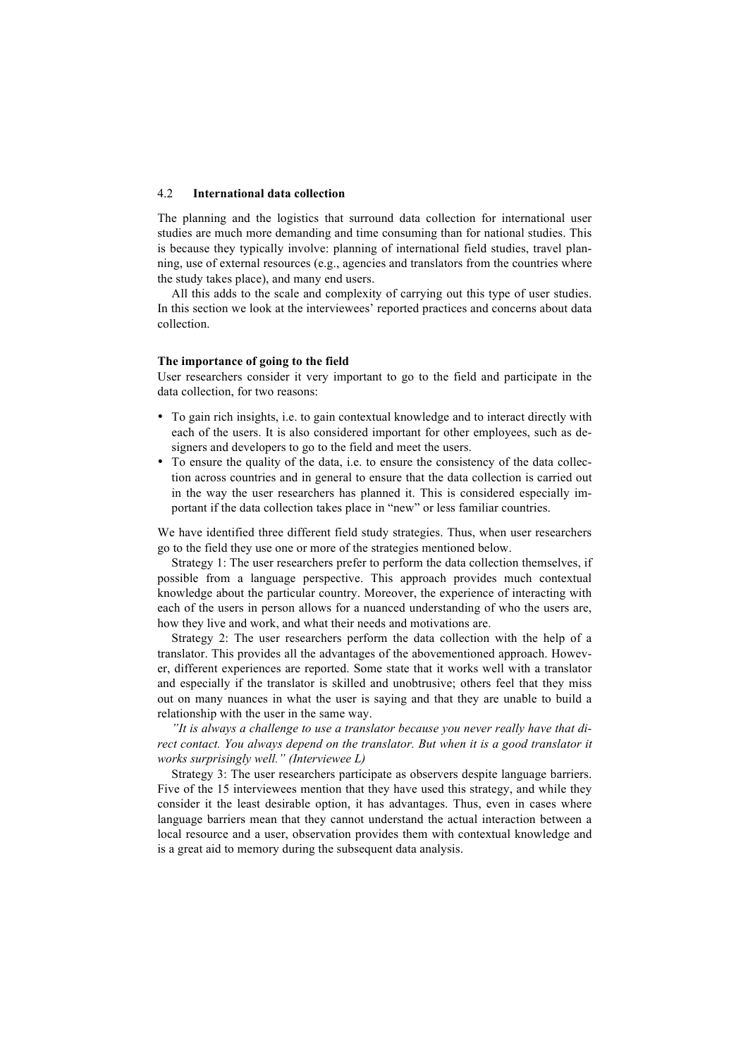#### 4.2 **International data collection**

The planning and the logistics that surround data collection for international user studies are much more demanding and time consuming than for national studies. This is because they typically involve: planning of international field studies, travel planning, use of external resources (e.g., agencies and translators from the countries where the study takes place), and many end users.

All this adds to the scale and complexity of carrying out this type of user studies. In this section we look at the interviewees' reported practices and concerns about data collection.

#### **The importance of going to the field**

User researchers consider it very important to go to the field and participate in the data collection, for two reasons:

- To gain rich insights, i.e. to gain contextual knowledge and to interact directly with each of the users. It is also considered important for other employees, such as designers and developers to go to the field and meet the users.
- To ensure the quality of the data, i.e. to ensure the consistency of the data collection across countries and in general to ensure that the data collection is carried out in the way the user researchers has planned it. This is considered especially important if the data collection takes place in "new" or less familiar countries.

We have identified three different field study strategies. Thus, when user researchers go to the field they use one or more of the strategies mentioned below.

Strategy 1: The user researchers prefer to perform the data collection themselves, if possible from a language perspective. This approach provides much contextual knowledge about the particular country. Moreover, the experience of interacting with each of the users in person allows for a nuanced understanding of who the users are, how they live and work, and what their needs and motivations are.

Strategy 2: The user researchers perform the data collection with the help of a translator. This provides all the advantages of the abovementioned approach. However, different experiences are reported. Some state that it works well with a translator and especially if the translator is skilled and unobtrusive; others feel that they miss out on many nuances in what the user is saying and that they are unable to build a relationship with the user in the same way.

*"It is always a challenge to use a translator because you never really have that di*rect contact. You always depend on the translator. But when it is a good translator it *works surprisingly well." (Interviewee L)*

Strategy 3: The user researchers participate as observers despite language barriers. Five of the 15 interviewees mention that they have used this strategy, and while they consider it the least desirable option, it has advantages. Thus, even in cases where language barriers mean that they cannot understand the actual interaction between a local resource and a user, observation provides them with contextual knowledge and is a great aid to memory during the subsequent data analysis.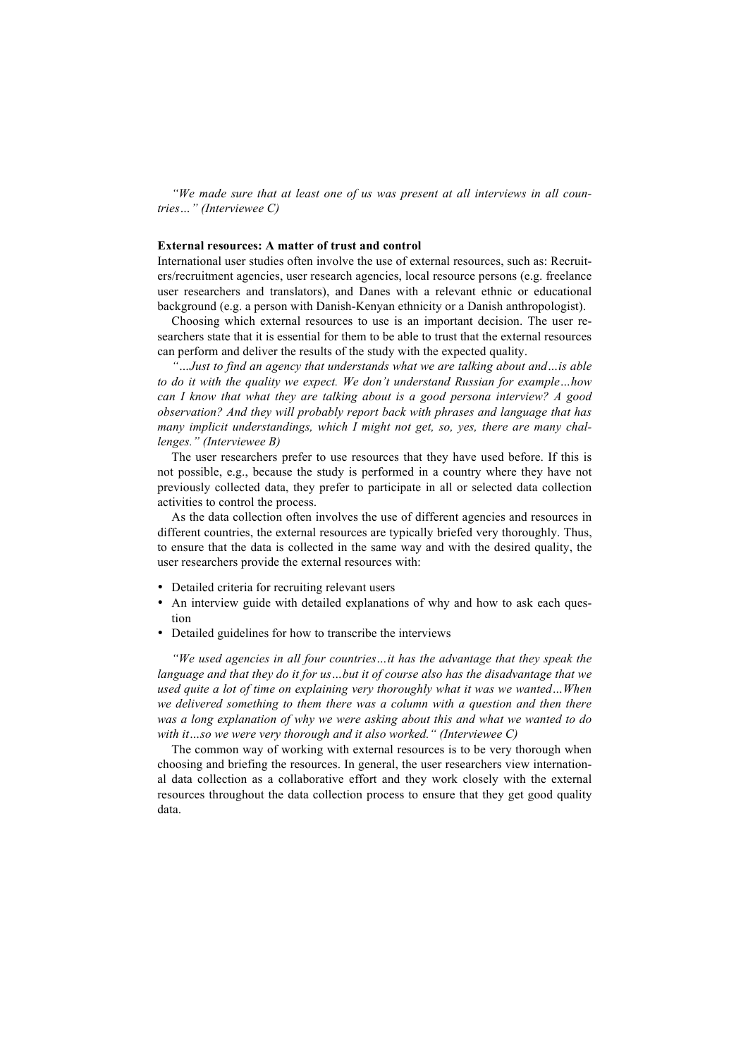*"We made sure that at least one of us was present at all interviews in all countries…" (Interviewee C)*

#### **External resources: A matter of trust and control**

International user studies often involve the use of external resources, such as: Recruiters/recruitment agencies, user research agencies, local resource persons (e.g. freelance user researchers and translators), and Danes with a relevant ethnic or educational background (e.g. a person with Danish-Kenyan ethnicity or a Danish anthropologist).

Choosing which external resources to use is an important decision. The user researchers state that it is essential for them to be able to trust that the external resources can perform and deliver the results of the study with the expected quality.

*"…Just to find an agency that understands what we are talking about and…is able to do it with the quality we expect. We don't understand Russian for example…how can I know that what they are talking about is a good persona interview? A good observation? And they will probably report back with phrases and language that has many implicit understandings, which I might not get, so, yes, there are many challenges." (Interviewee B)*

The user researchers prefer to use resources that they have used before. If this is not possible, e.g., because the study is performed in a country where they have not previously collected data, they prefer to participate in all or selected data collection activities to control the process.

As the data collection often involves the use of different agencies and resources in different countries, the external resources are typically briefed very thoroughly. Thus, to ensure that the data is collected in the same way and with the desired quality, the user researchers provide the external resources with:

- Detailed criteria for recruiting relevant users
- An interview guide with detailed explanations of why and how to ask each question
- Detailed guidelines for how to transcribe the interviews

*"We used agencies in all four countries…it has the advantage that they speak the language and that they do it for us…but it of course also has the disadvantage that we used quite a lot of time on explaining very thoroughly what it was we wanted...When we delivered something to them there was a column with a question and then there was a long explanation of why we were asking about this and what we wanted to do with it…so we were very thorough and it also worked." (Interviewee C)*

The common way of working with external resources is to be very thorough when choosing and briefing the resources. In general, the user researchers view international data collection as a collaborative effort and they work closely with the external resources throughout the data collection process to ensure that they get good quality data.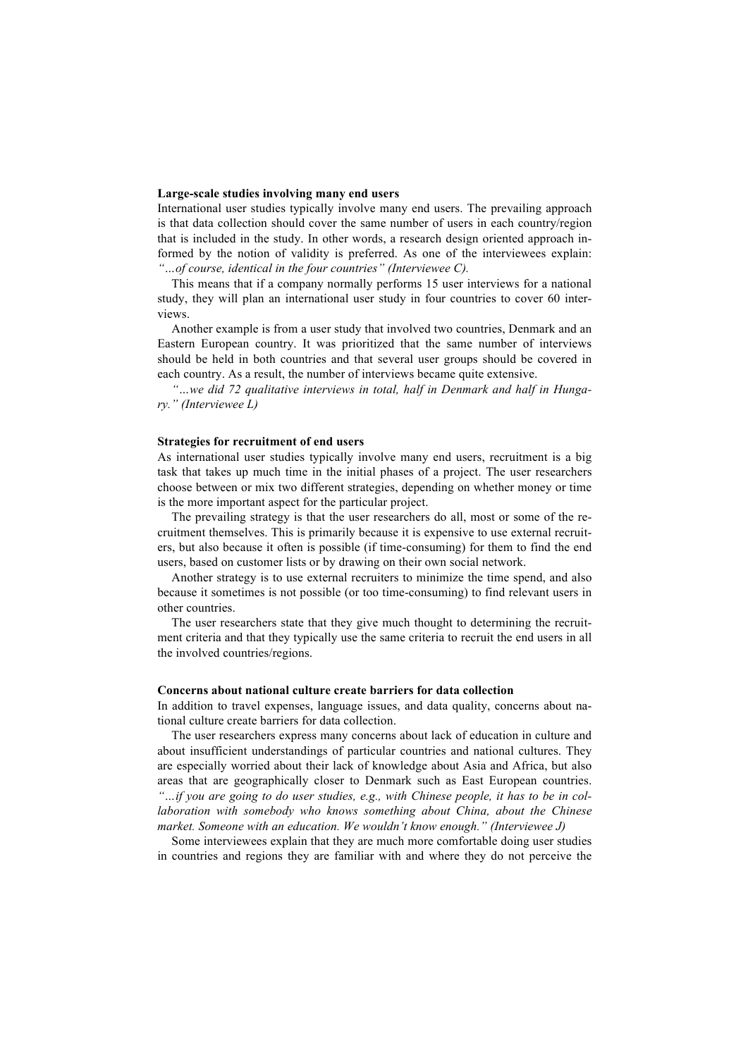#### **Large-scale studies involving many end users**

International user studies typically involve many end users. The prevailing approach is that data collection should cover the same number of users in each country/region that is included in the study. In other words, a research design oriented approach informed by the notion of validity is preferred. As one of the interviewees explain: *"…of course, identical in the four countries" (Interviewee C).*

This means that if a company normally performs 15 user interviews for a national study, they will plan an international user study in four countries to cover 60 interviews.

Another example is from a user study that involved two countries, Denmark and an Eastern European country. It was prioritized that the same number of interviews should be held in both countries and that several user groups should be covered in each country. As a result, the number of interviews became quite extensive.

*"…we did 72 qualitative interviews in total, half in Denmark and half in Hungary." (Interviewee L)*

#### **Strategies for recruitment of end users**

As international user studies typically involve many end users, recruitment is a big task that takes up much time in the initial phases of a project. The user researchers choose between or mix two different strategies, depending on whether money or time is the more important aspect for the particular project.

The prevailing strategy is that the user researchers do all, most or some of the recruitment themselves. This is primarily because it is expensive to use external recruiters, but also because it often is possible (if time-consuming) for them to find the end users, based on customer lists or by drawing on their own social network.

Another strategy is to use external recruiters to minimize the time spend, and also because it sometimes is not possible (or too time-consuming) to find relevant users in other countries.

The user researchers state that they give much thought to determining the recruitment criteria and that they typically use the same criteria to recruit the end users in all the involved countries/regions.

#### **Concerns about national culture create barriers for data collection**

In addition to travel expenses, language issues, and data quality, concerns about national culture create barriers for data collection.

The user researchers express many concerns about lack of education in culture and about insufficient understandings of particular countries and national cultures. They are especially worried about their lack of knowledge about Asia and Africa, but also areas that are geographically closer to Denmark such as East European countries. *"…if you are going to do user studies, e.g., with Chinese people, it has to be in collaboration with somebody who knows something about China, about the Chinese market. Someone with an education. We wouldn't know enough." (Interviewee J)*

Some interviewees explain that they are much more comfortable doing user studies in countries and regions they are familiar with and where they do not perceive the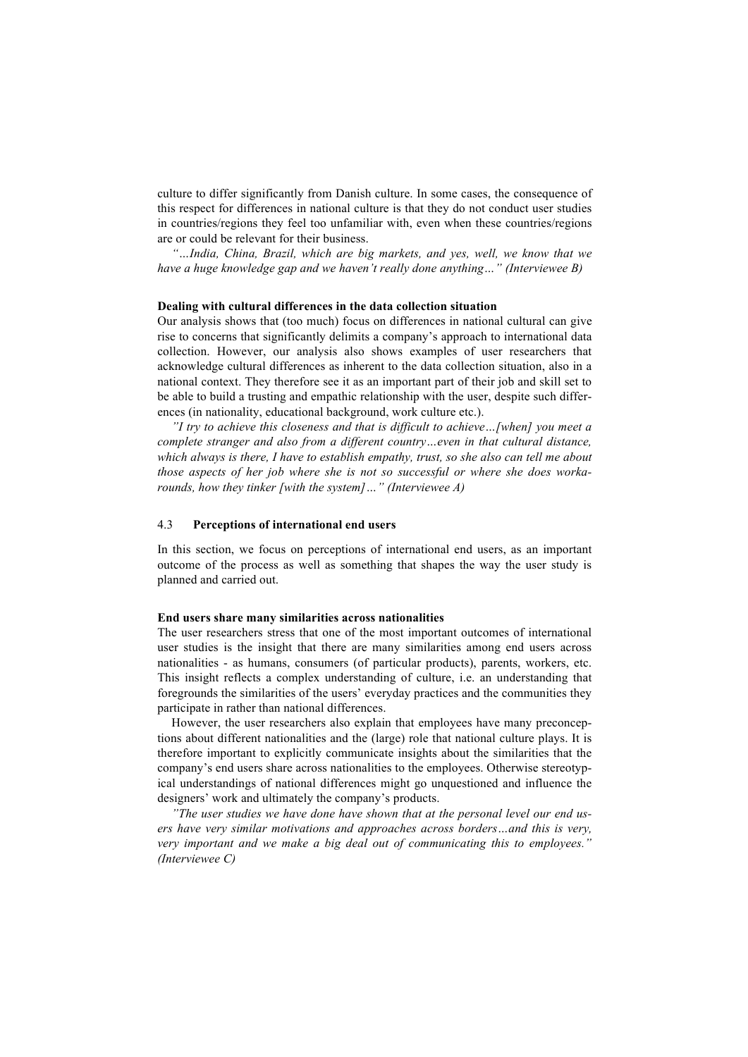culture to differ significantly from Danish culture. In some cases, the consequence of this respect for differences in national culture is that they do not conduct user studies in countries/regions they feel too unfamiliar with, even when these countries/regions are or could be relevant for their business.

*"…India, China, Brazil, which are big markets, and yes, well, we know that we have a huge knowledge gap and we haven't really done anything…" (Interviewee B)* 

#### **Dealing with cultural differences in the data collection situation**

Our analysis shows that (too much) focus on differences in national cultural can give rise to concerns that significantly delimits a company's approach to international data collection. However, our analysis also shows examples of user researchers that acknowledge cultural differences as inherent to the data collection situation, also in a national context. They therefore see it as an important part of their job and skill set to be able to build a trusting and empathic relationship with the user, despite such differences (in nationality, educational background, work culture etc.).

*"I try to achieve this closeness and that is difficult to achieve…[when] you meet a complete stranger and also from a different country…even in that cultural distance, which always is there, I have to establish empathy, trust, so she also can tell me about those aspects of her job where she is not so successful or where she does workarounds, how they tinker [with the system]…" (Interviewee A)*

#### 4.3 **Perceptions of international end users**

In this section, we focus on perceptions of international end users, as an important outcome of the process as well as something that shapes the way the user study is planned and carried out.

#### **End users share many similarities across nationalities**

The user researchers stress that one of the most important outcomes of international user studies is the insight that there are many similarities among end users across nationalities - as humans, consumers (of particular products), parents, workers, etc. This insight reflects a complex understanding of culture, i.e. an understanding that foregrounds the similarities of the users' everyday practices and the communities they participate in rather than national differences.

However, the user researchers also explain that employees have many preconceptions about different nationalities and the (large) role that national culture plays. It is therefore important to explicitly communicate insights about the similarities that the company's end users share across nationalities to the employees. Otherwise stereotypical understandings of national differences might go unquestioned and influence the designers' work and ultimately the company's products.

*"The user studies we have done have shown that at the personal level our end users have very similar motivations and approaches across borders…and this is very, very important and we make a big deal out of communicating this to employees." (Interviewee C)*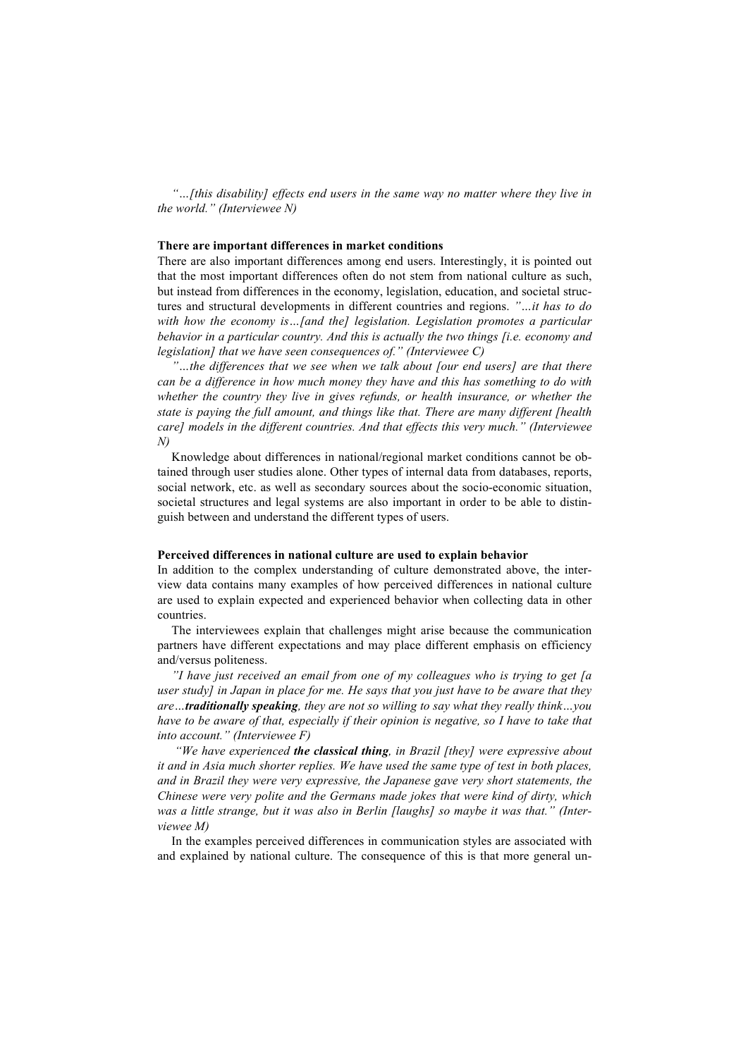*"…[this disability] effects end users in the same way no matter where they live in the world." (Interviewee N)*

#### **There are important differences in market conditions**

There are also important differences among end users. Interestingly, it is pointed out that the most important differences often do not stem from national culture as such, but instead from differences in the economy, legislation, education, and societal structures and structural developments in different countries and regions. *"…it has to do*  with how the economy is...[and the] legislation. Legislation promotes a particular *behavior in a particular country. And this is actually the two things [i.e. economy and legislation] that we have seen consequences of." (Interviewee C)* 

*"…the differences that we see when we talk about [our end users] are that there can be a difference in how much money they have and this has something to do with whether the country they live in gives refunds, or health insurance, or whether the state is paying the full amount, and things like that. There are many different [health care] models in the different countries. And that effects this very much." (Interviewee N)*

Knowledge about differences in national/regional market conditions cannot be obtained through user studies alone. Other types of internal data from databases, reports, social network, etc. as well as secondary sources about the socio-economic situation, societal structures and legal systems are also important in order to be able to distinguish between and understand the different types of users.

#### **Perceived differences in national culture are used to explain behavior**

In addition to the complex understanding of culture demonstrated above, the interview data contains many examples of how perceived differences in national culture are used to explain expected and experienced behavior when collecting data in other countries.

The interviewees explain that challenges might arise because the communication partners have different expectations and may place different emphasis on efficiency and/versus politeness.

*"I have just received an email from one of my colleagues who is trying to get [a user study] in Japan in place for me. He says that you just have to be aware that they are…traditionally speaking, they are not so willing to say what they really think…you have to be aware of that, especially if their opinion is negative, so I have to take that into account." (Interviewee F)*

*"We have experienced the classical thing, in Brazil [they] were expressive about it and in Asia much shorter replies. We have used the same type of test in both places, and in Brazil they were very expressive, the Japanese gave very short statements, the Chinese were very polite and the Germans made jokes that were kind of dirty, which was a little strange, but it was also in Berlin [laughs] so maybe it was that." (Interviewee M)* 

In the examples perceived differences in communication styles are associated with and explained by national culture. The consequence of this is that more general un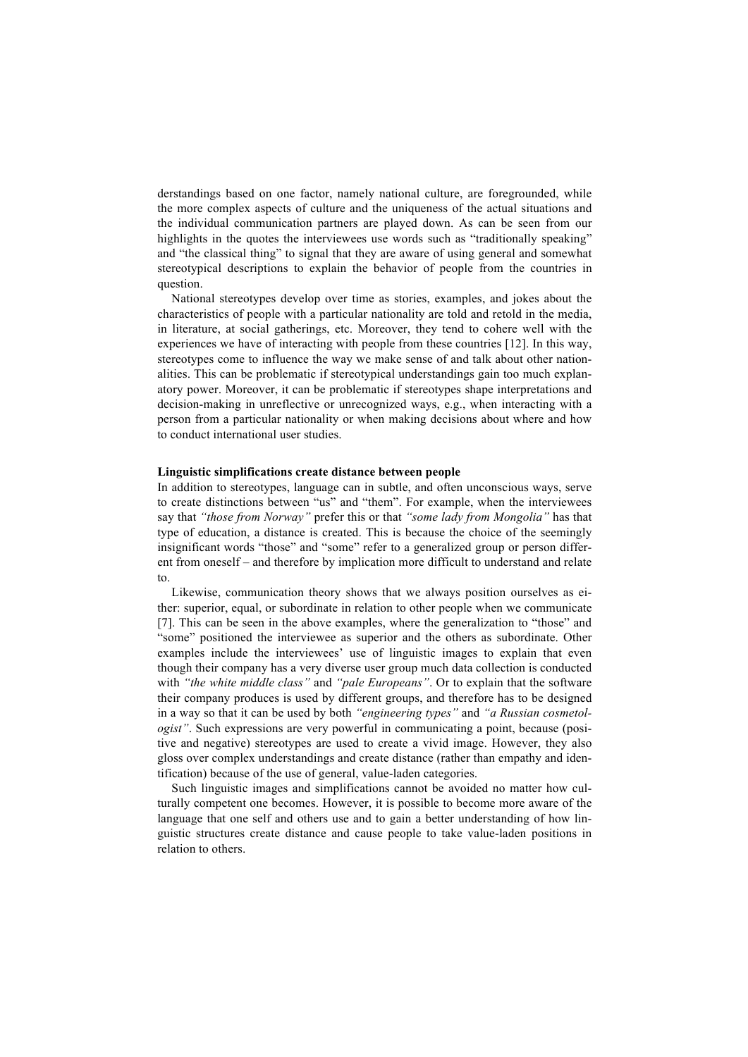derstandings based on one factor, namely national culture, are foregrounded, while the more complex aspects of culture and the uniqueness of the actual situations and the individual communication partners are played down. As can be seen from our highlights in the quotes the interviewees use words such as "traditionally speaking" and "the classical thing" to signal that they are aware of using general and somewhat stereotypical descriptions to explain the behavior of people from the countries in question.

National stereotypes develop over time as stories, examples, and jokes about the characteristics of people with a particular nationality are told and retold in the media, in literature, at social gatherings, etc. Moreover, they tend to cohere well with the experiences we have of interacting with people from these countries [12]. In this way, stereotypes come to influence the way we make sense of and talk about other nationalities. This can be problematic if stereotypical understandings gain too much explanatory power. Moreover, it can be problematic if stereotypes shape interpretations and decision-making in unreflective or unrecognized ways, e.g., when interacting with a person from a particular nationality or when making decisions about where and how to conduct international user studies.

#### **Linguistic simplifications create distance between people**

In addition to stereotypes, language can in subtle, and often unconscious ways, serve to create distinctions between "us" and "them". For example, when the interviewees say that *"those from Norway"* prefer this or that *"some lady from Mongolia"* has that type of education, a distance is created. This is because the choice of the seemingly insignificant words "those" and "some" refer to a generalized group or person different from oneself – and therefore by implication more difficult to understand and relate to.

Likewise, communication theory shows that we always position ourselves as either: superior, equal, or subordinate in relation to other people when we communicate [7]. This can be seen in the above examples, where the generalization to "those" and "some" positioned the interviewee as superior and the others as subordinate. Other examples include the interviewees' use of linguistic images to explain that even though their company has a very diverse user group much data collection is conducted with *"the white middle class"* and *"pale Europeans"*. Or to explain that the software their company produces is used by different groups, and therefore has to be designed in a way so that it can be used by both *"engineering types"* and *"a Russian cosmetologist"*. Such expressions are very powerful in communicating a point, because (positive and negative) stereotypes are used to create a vivid image. However, they also gloss over complex understandings and create distance (rather than empathy and identification) because of the use of general, value-laden categories.

Such linguistic images and simplifications cannot be avoided no matter how culturally competent one becomes. However, it is possible to become more aware of the language that one self and others use and to gain a better understanding of how linguistic structures create distance and cause people to take value-laden positions in relation to others.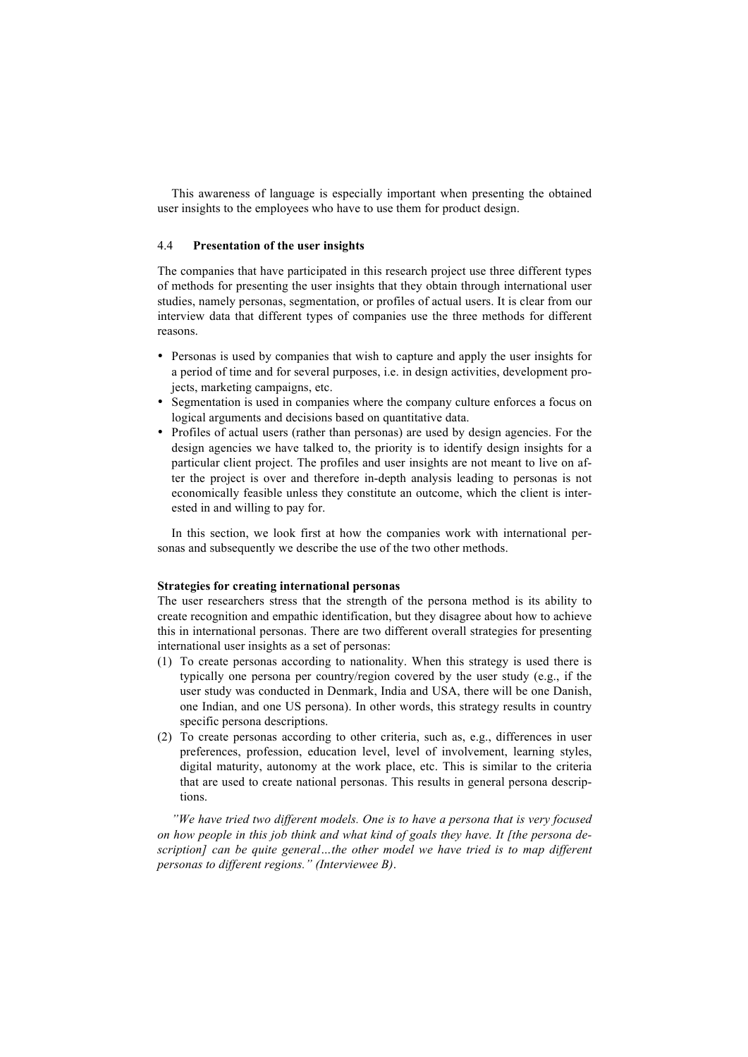This awareness of language is especially important when presenting the obtained user insights to the employees who have to use them for product design.

#### 4.4 **Presentation of the user insights**

The companies that have participated in this research project use three different types of methods for presenting the user insights that they obtain through international user studies, namely personas, segmentation, or profiles of actual users. It is clear from our interview data that different types of companies use the three methods for different reasons.

- Personas is used by companies that wish to capture and apply the user insights for a period of time and for several purposes, i.e. in design activities, development projects, marketing campaigns, etc.
- Segmentation is used in companies where the company culture enforces a focus on logical arguments and decisions based on quantitative data.
- Profiles of actual users (rather than personas) are used by design agencies. For the design agencies we have talked to, the priority is to identify design insights for a particular client project. The profiles and user insights are not meant to live on after the project is over and therefore in-depth analysis leading to personas is not economically feasible unless they constitute an outcome, which the client is interested in and willing to pay for.

In this section, we look first at how the companies work with international personas and subsequently we describe the use of the two other methods.

#### **Strategies for creating international personas**

The user researchers stress that the strength of the persona method is its ability to create recognition and empathic identification, but they disagree about how to achieve this in international personas. There are two different overall strategies for presenting international user insights as a set of personas:

- (1) To create personas according to nationality. When this strategy is used there is typically one persona per country/region covered by the user study (e.g., if the user study was conducted in Denmark, India and USA, there will be one Danish, one Indian, and one US persona). In other words, this strategy results in country specific persona descriptions.
- (2) To create personas according to other criteria, such as, e.g., differences in user preferences, profession, education level, level of involvement, learning styles, digital maturity, autonomy at the work place, etc. This is similar to the criteria that are used to create national personas. This results in general persona descriptions.

*"We have tried two different models. One is to have a persona that is very focused on how people in this job think and what kind of goals they have. It [the persona description] can be quite general…the other model we have tried is to map different personas to different regions." (Interviewee B)*.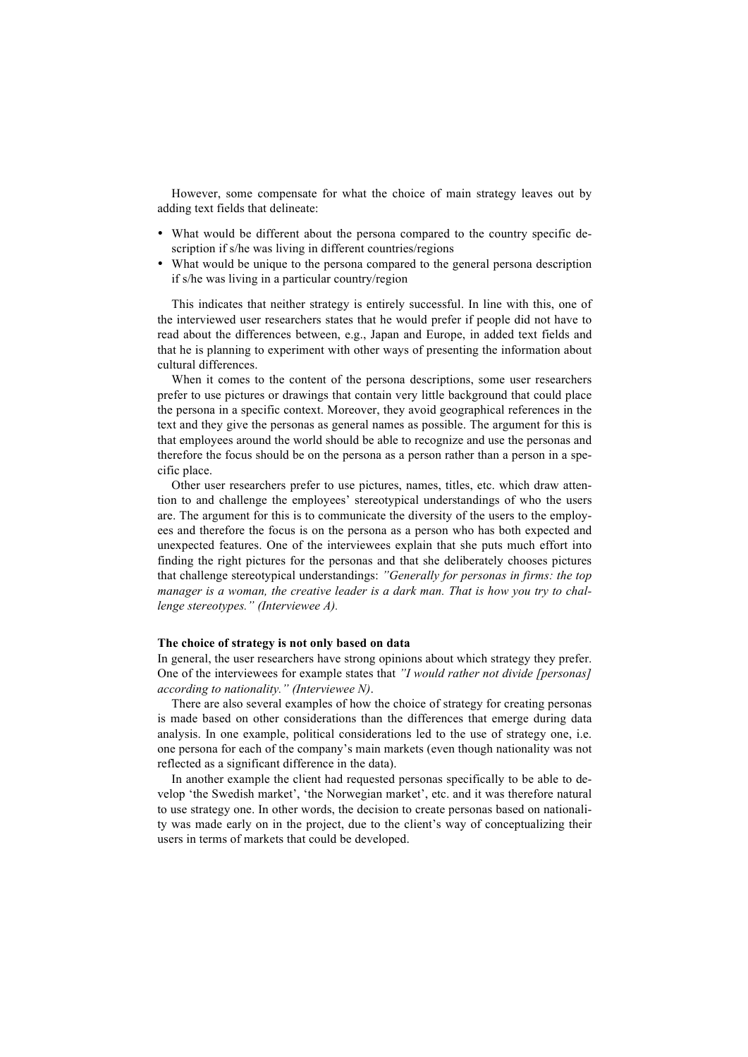However, some compensate for what the choice of main strategy leaves out by adding text fields that delineate:

- What would be different about the persona compared to the country specific description if s/he was living in different countries/regions
- What would be unique to the persona compared to the general persona description if s/he was living in a particular country/region

This indicates that neither strategy is entirely successful. In line with this, one of the interviewed user researchers states that he would prefer if people did not have to read about the differences between, e.g., Japan and Europe, in added text fields and that he is planning to experiment with other ways of presenting the information about cultural differences.

When it comes to the content of the persona descriptions, some user researchers prefer to use pictures or drawings that contain very little background that could place the persona in a specific context. Moreover, they avoid geographical references in the text and they give the personas as general names as possible. The argument for this is that employees around the world should be able to recognize and use the personas and therefore the focus should be on the persona as a person rather than a person in a specific place.

Other user researchers prefer to use pictures, names, titles, etc. which draw attention to and challenge the employees' stereotypical understandings of who the users are. The argument for this is to communicate the diversity of the users to the employees and therefore the focus is on the persona as a person who has both expected and unexpected features. One of the interviewees explain that she puts much effort into finding the right pictures for the personas and that she deliberately chooses pictures that challenge stereotypical understandings: *"Generally for personas in firms: the top manager is a woman, the creative leader is a dark man. That is how you try to challenge stereotypes." (Interviewee A).*

#### **The choice of strategy is not only based on data**

In general, the user researchers have strong opinions about which strategy they prefer. One of the interviewees for example states that *"I would rather not divide [personas] according to nationality." (Interviewee N)*.

There are also several examples of how the choice of strategy for creating personas is made based on other considerations than the differences that emerge during data analysis. In one example, political considerations led to the use of strategy one, i.e. one persona for each of the company's main markets (even though nationality was not reflected as a significant difference in the data).

In another example the client had requested personas specifically to be able to develop 'the Swedish market', 'the Norwegian market', etc. and it was therefore natural to use strategy one. In other words, the decision to create personas based on nationality was made early on in the project, due to the client's way of conceptualizing their users in terms of markets that could be developed.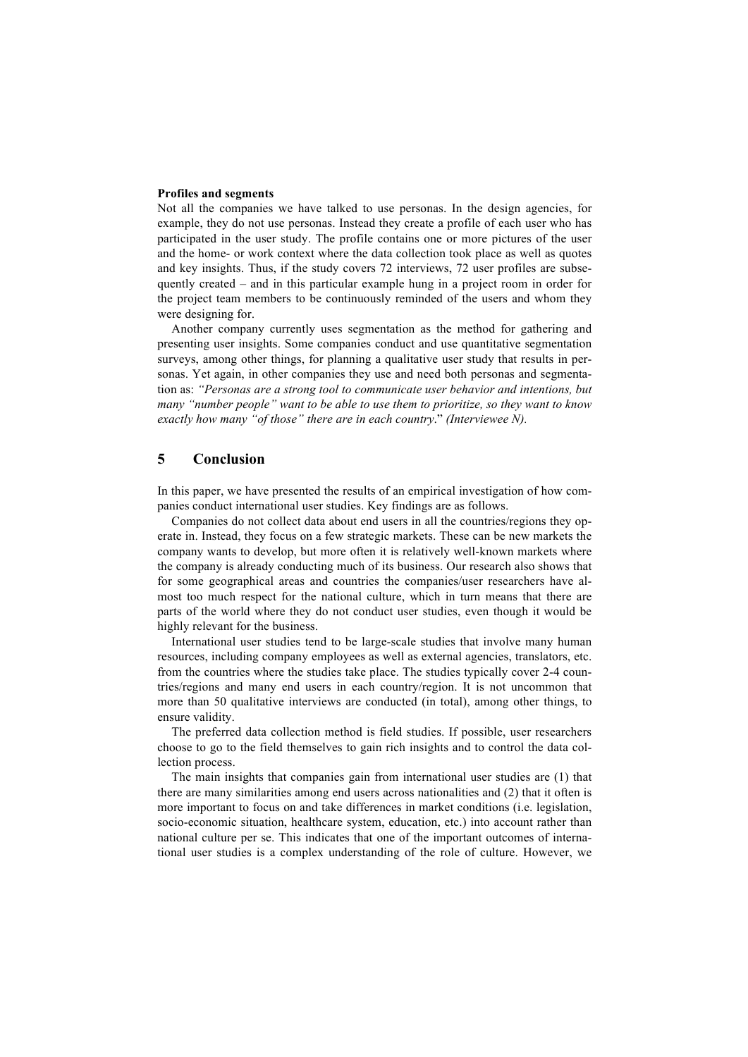#### **Profiles and segments**

Not all the companies we have talked to use personas. In the design agencies, for example, they do not use personas. Instead they create a profile of each user who has participated in the user study. The profile contains one or more pictures of the user and the home- or work context where the data collection took place as well as quotes and key insights. Thus, if the study covers 72 interviews, 72 user profiles are subsequently created – and in this particular example hung in a project room in order for the project team members to be continuously reminded of the users and whom they were designing for.

Another company currently uses segmentation as the method for gathering and presenting user insights. Some companies conduct and use quantitative segmentation surveys, among other things, for planning a qualitative user study that results in personas. Yet again, in other companies they use and need both personas and segmentation as: *"Personas are a strong tool to communicate user behavior and intentions, but many "number people" want to be able to use them to prioritize, so they want to know exactly how many "of those" there are in each country*." *(Interviewee N).* 

## **5 Conclusion**

In this paper, we have presented the results of an empirical investigation of how companies conduct international user studies. Key findings are as follows.

Companies do not collect data about end users in all the countries/regions they operate in. Instead, they focus on a few strategic markets. These can be new markets the company wants to develop, but more often it is relatively well-known markets where the company is already conducting much of its business. Our research also shows that for some geographical areas and countries the companies/user researchers have almost too much respect for the national culture, which in turn means that there are parts of the world where they do not conduct user studies, even though it would be highly relevant for the business.

International user studies tend to be large-scale studies that involve many human resources, including company employees as well as external agencies, translators, etc. from the countries where the studies take place. The studies typically cover 2-4 countries/regions and many end users in each country/region. It is not uncommon that more than 50 qualitative interviews are conducted (in total), among other things, to ensure validity.

The preferred data collection method is field studies. If possible, user researchers choose to go to the field themselves to gain rich insights and to control the data collection process.

The main insights that companies gain from international user studies are (1) that there are many similarities among end users across nationalities and (2) that it often is more important to focus on and take differences in market conditions (i.e. legislation, socio-economic situation, healthcare system, education, etc.) into account rather than national culture per se. This indicates that one of the important outcomes of international user studies is a complex understanding of the role of culture. However, we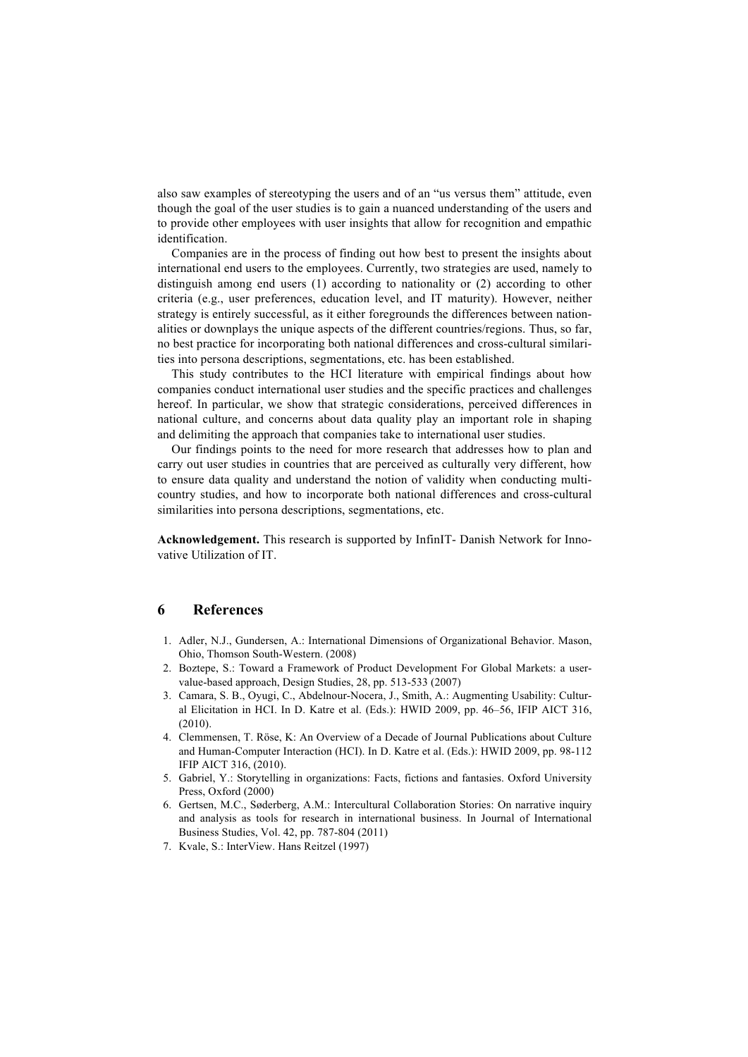also saw examples of stereotyping the users and of an "us versus them" attitude, even though the goal of the user studies is to gain a nuanced understanding of the users and to provide other employees with user insights that allow for recognition and empathic identification.

Companies are in the process of finding out how best to present the insights about international end users to the employees. Currently, two strategies are used, namely to distinguish among end users (1) according to nationality or (2) according to other criteria (e.g., user preferences, education level, and IT maturity). However, neither strategy is entirely successful, as it either foregrounds the differences between nationalities or downplays the unique aspects of the different countries/regions. Thus, so far, no best practice for incorporating both national differences and cross-cultural similarities into persona descriptions, segmentations, etc. has been established.

This study contributes to the HCI literature with empirical findings about how companies conduct international user studies and the specific practices and challenges hereof. In particular, we show that strategic considerations, perceived differences in national culture, and concerns about data quality play an important role in shaping and delimiting the approach that companies take to international user studies.

Our findings points to the need for more research that addresses how to plan and carry out user studies in countries that are perceived as culturally very different, how to ensure data quality and understand the notion of validity when conducting multicountry studies, and how to incorporate both national differences and cross-cultural similarities into persona descriptions, segmentations, etc.

**Acknowledgement.** This research is supported by InfinIT- Danish Network for Innovative Utilization of IT.

## **6 References**

- 1. Adler, N.J., Gundersen, A.: International Dimensions of Organizational Behavior. Mason, Ohio, Thomson South-Western. (2008)
- 2. Boztepe, S.: Toward a Framework of Product Development For Global Markets: a uservalue-based approach, Design Studies, 28, pp. 513-533 (2007)
- 3. Camara, S. B., Oyugi, C., Abdelnour-Nocera, J., Smith, A.: Augmenting Usability: Cultural Elicitation in HCI. In D. Katre et al. (Eds.): HWID 2009, pp. 46–56, IFIP AICT 316,  $(2010)$
- 4. Clemmensen, T. Röse, K: An Overview of a Decade of Journal Publications about Culture and Human-Computer Interaction (HCI). In D. Katre et al. (Eds.): HWID 2009, pp. 98-112 IFIP AICT 316, (2010).
- 5. Gabriel, Y.: Storytelling in organizations: Facts, fictions and fantasies. Oxford University Press, Oxford (2000)
- 6. Gertsen, M.C., Søderberg, A.M.: Intercultural Collaboration Stories: On narrative inquiry and analysis as tools for research in international business. In Journal of International Business Studies, Vol. 42, pp. 787-804 (2011)
- 7. Kvale, S.: InterView. Hans Reitzel (1997)